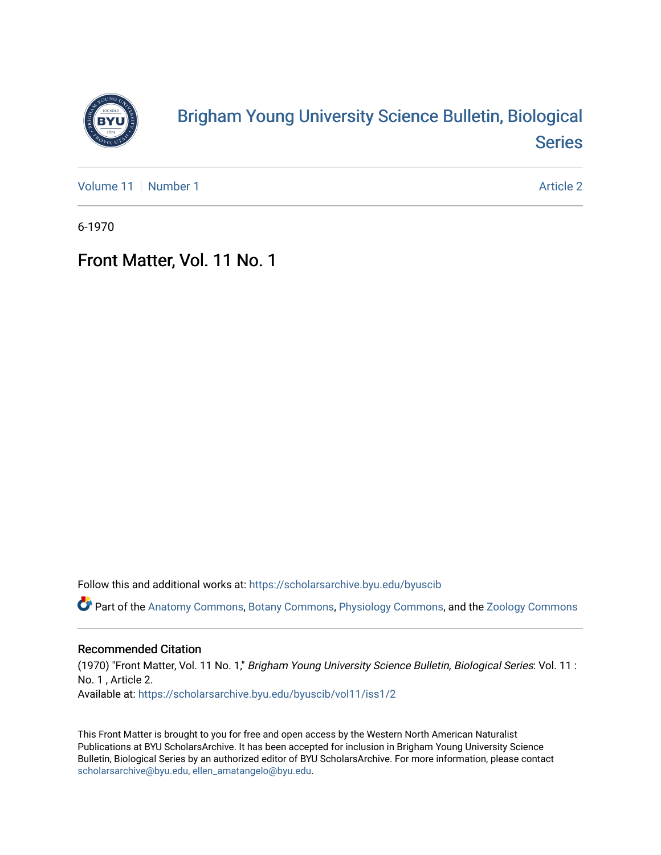

## [Brigham Young University Science Bulletin, Biological](https://scholarsarchive.byu.edu/byuscib)  [Series](https://scholarsarchive.byu.edu/byuscib)

[Volume 11](https://scholarsarchive.byu.edu/byuscib/vol11) [Number 1](https://scholarsarchive.byu.edu/byuscib/vol11/iss1) Article 2

6-1970

## Front Matter, Vol. 11 No. 1

Follow this and additional works at: [https://scholarsarchive.byu.edu/byuscib](https://scholarsarchive.byu.edu/byuscib?utm_source=scholarsarchive.byu.edu%2Fbyuscib%2Fvol11%2Fiss1%2F2&utm_medium=PDF&utm_campaign=PDFCoverPages)

Part of the [Anatomy Commons,](http://network.bepress.com/hgg/discipline/903?utm_source=scholarsarchive.byu.edu%2Fbyuscib%2Fvol11%2Fiss1%2F2&utm_medium=PDF&utm_campaign=PDFCoverPages) [Botany Commons,](http://network.bepress.com/hgg/discipline/104?utm_source=scholarsarchive.byu.edu%2Fbyuscib%2Fvol11%2Fiss1%2F2&utm_medium=PDF&utm_campaign=PDFCoverPages) [Physiology Commons,](http://network.bepress.com/hgg/discipline/69?utm_source=scholarsarchive.byu.edu%2Fbyuscib%2Fvol11%2Fiss1%2F2&utm_medium=PDF&utm_campaign=PDFCoverPages) and the [Zoology Commons](http://network.bepress.com/hgg/discipline/81?utm_source=scholarsarchive.byu.edu%2Fbyuscib%2Fvol11%2Fiss1%2F2&utm_medium=PDF&utm_campaign=PDFCoverPages)

#### Recommended Citation

(1970) "Front Matter, Vol. 11 No. 1," Brigham Young University Science Bulletin, Biological Series: Vol. 11 : No. 1 , Article 2. Available at: [https://scholarsarchive.byu.edu/byuscib/vol11/iss1/2](https://scholarsarchive.byu.edu/byuscib/vol11/iss1/2?utm_source=scholarsarchive.byu.edu%2Fbyuscib%2Fvol11%2Fiss1%2F2&utm_medium=PDF&utm_campaign=PDFCoverPages) 

This Front Matter is brought to you for free and open access by the Western North American Naturalist Publications at BYU ScholarsArchive. It has been accepted for inclusion in Brigham Young University Science Bulletin, Biological Series by an authorized editor of BYU ScholarsArchive. For more information, please contact [scholarsarchive@byu.edu, ellen\\_amatangelo@byu.edu](mailto:scholarsarchive@byu.edu,%20ellen_amatangelo@byu.edu).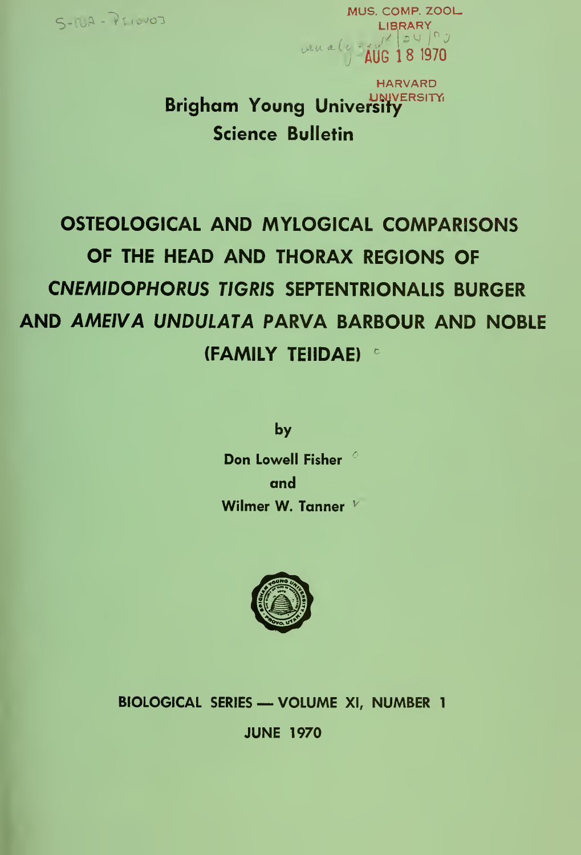

MUS. COMP. ZOOL MUS. COMP. Z<br>LIBRARY LIBRARY ven alg - AUG 18 1970

> Brigham Young University Science Bulletin HARVARD **UNIVERSITY**

# OSTEOLOGICAL AND MYLOGICAL COMPARISONS OF THE HEAD AND THORAX REGIONS OF CNEM/DOPHORUS TIGRIS SEPTENTRIONALIS BURGER AND AMEIVA UNDULATA PARVA BARBOUR AND NOBLE (FAMILY TEIIDAE)

by

Don Lowell Fisher  $^\circ$  . and Wilmer W. Tanner  $V$ 



BIOLOGICAL SERIES — VOLUME XI, NUMBER <sup>1</sup> JUNE 1970